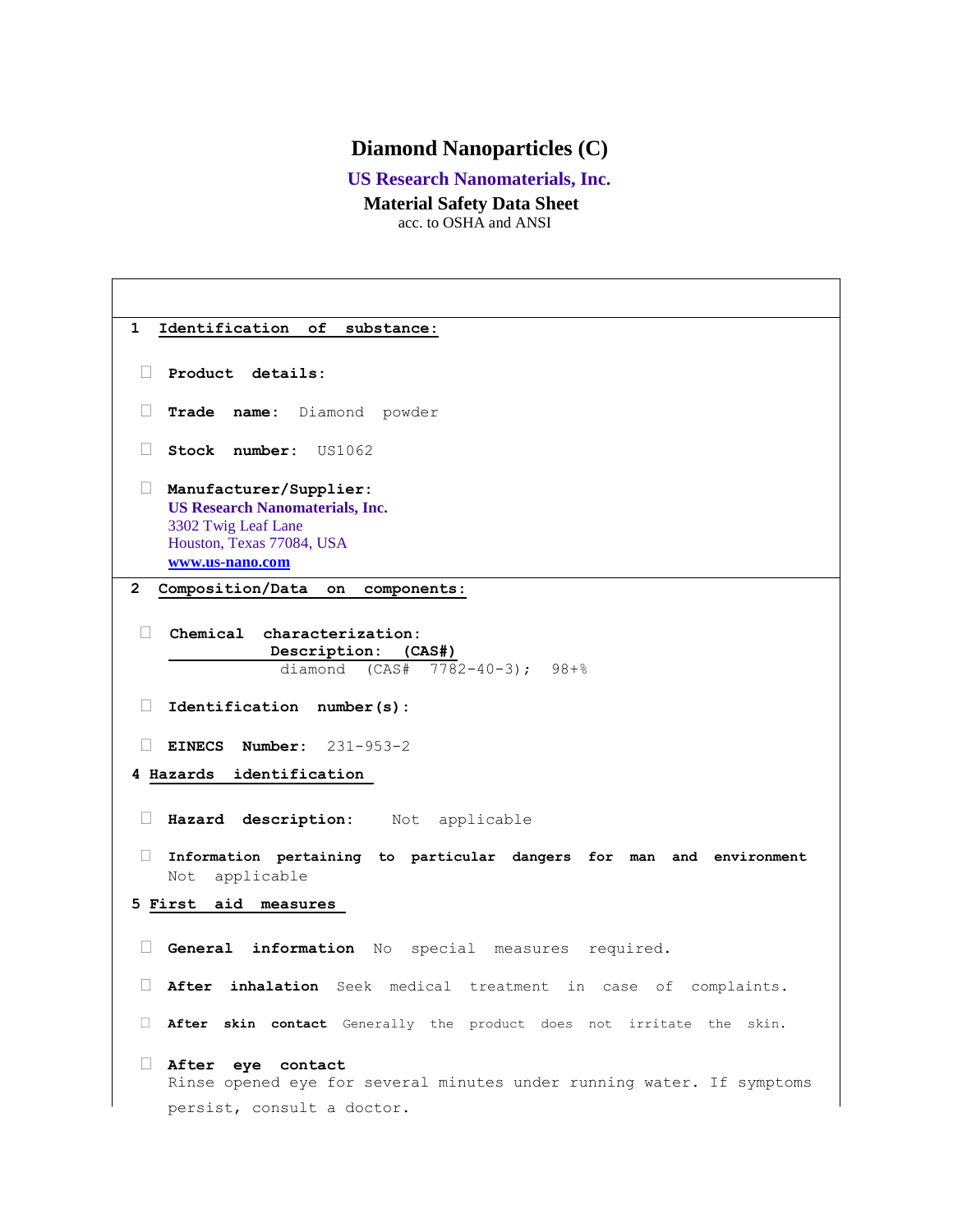## **Diamond Nanoparticles (C)**

## **US Research Nanomaterials, Inc.**

## **Material Safety Data Sheet**

acc. to OSHA and ANSI

**1 Identification of substance: Product details: Trade name:** Diamond powder **Stock number:** US1062 **Manufacturer/Supplier: US Research Nanomaterials, Inc.** 3302 Twig Leaf Lane Houston, Texas 77084, USA **[www.us-nano.com](http://www.us-nano.com/) 2 Composition/Data on components: Chemical characterization: Description: (CAS#)** diamond (CAS# 7782-40-3); 98+% **Identification number(s): EINECS Number:** 231-953-2 **4 Hazards identification Hazard description:** Not applicable **Information pertaining to particular dangers for man and environment**  Not applicable **5 First aid measures General information** No special measures required. **After inhalation** Seek medical treatment in case of complaints. **After skin contact** Generally the product does not irritate the skin. **After eye contact**  Rinse opened eye for several minutes under running water. If symptoms persist, consult a doctor.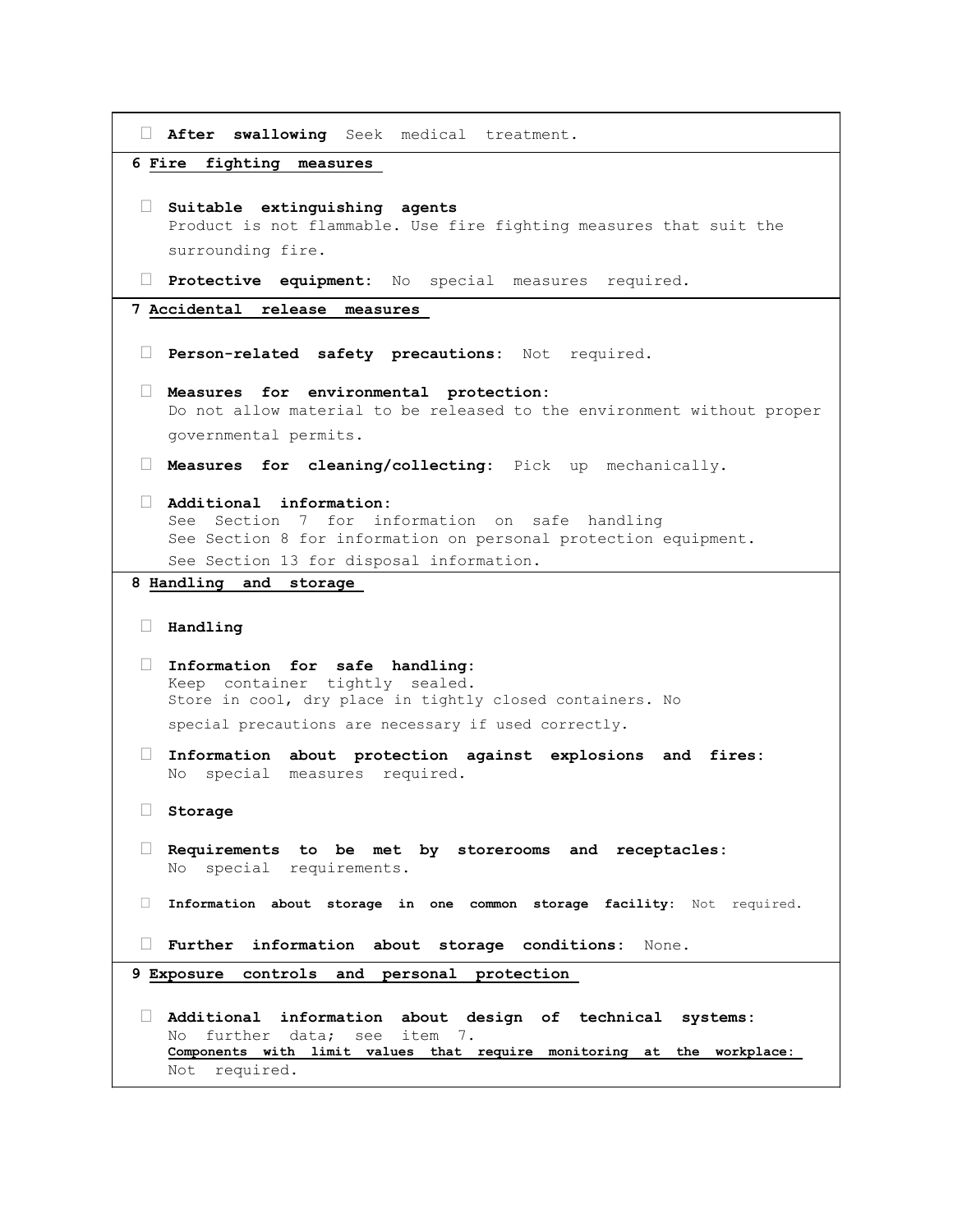```
 After swallowing Seek medical treatment.
6 Fire fighting measures 
 Suitable extinguishing agents 
   Product is not flammable. Use fire fighting measures that suit the 
   surrounding fire. 
 Protective equipment: No special measures required.
7 Accidental release measures 
 Person-related safety precautions: Not required.
 Measures for environmental protection: 
   Do not allow material to be released to the environment without proper 
   governmental permits. 
 Measures for cleaning/collecting: Pick up mechanically.
 Additional information: 
   See Section 7 for information on safe handling 
   See Section 8 for information on personal protection equipment. 
   See Section 13 for disposal information. 
8 Handling and storage 
 Handling 
 Information for safe handling: 
   Keep container tightly sealed. 
   Store in cool, dry place in tightly closed containers. No 
   special precautions are necessary if used correctly. 
 Information about protection against explosions and fires: 
   No special measures required. 
 Storage 
 Requirements to be met by storerooms and receptacles: 
   No special requirements. 
 Information about storage in one common storage facility: Not required.
 Further information about storage conditions: None.
9 Exposure controls and personal protection 
 Additional information about design of technical systems: 
   No further data; see item 7. 
   Components with limit values that require monitoring at the workplace: 
   Not required.
```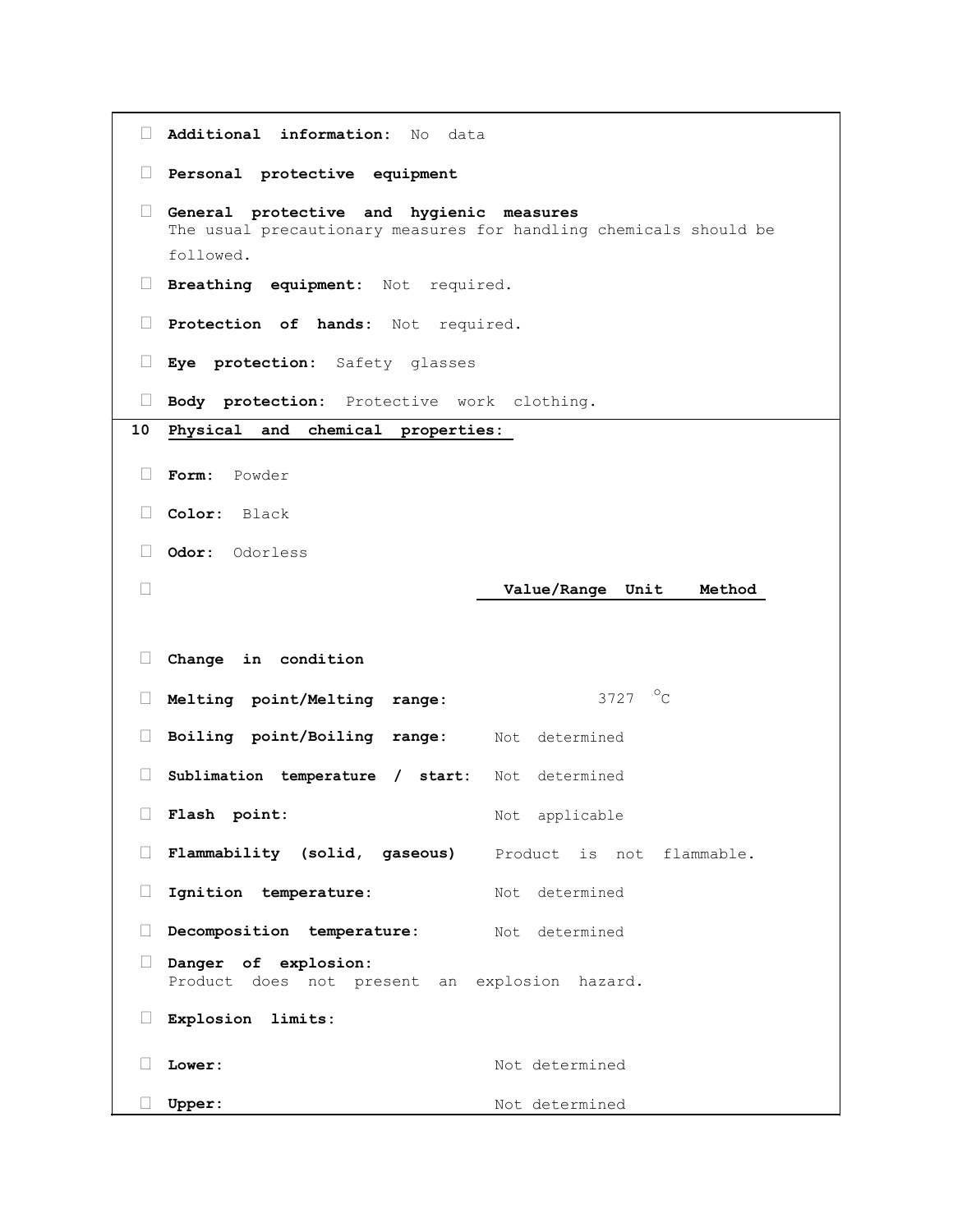```
 Additional information: No data
 Personal protective equipment 
 General protective and hygienic measures 
   The usual precautionary measures for handling chemicals should be 
   followed. 
 Breathing equipment: Not required.
 Protection of hands: Not required.
 Eye protection: Safety glasses
 Body protection: Protective work clothing.
10 Physical and chemical properties: 
 Form: Powder
 Color: Black
 Odor: Odorless
 Value/Range Unit Method
 Change in condition
Melting point/Melting range: 3727 °C
 Boiling point/Boiling range: Not determined
 Sublimation temperature / start: Not determined
 Flash point: Not applicable
 Flammability (solid, gaseous) Product is not flammable.
Ignition temperature: Not determined
 Decomposition temperature: Not determined
 Danger of explosion: 
   Product does not present an explosion hazard. 
 Explosion limits: 
Lower: Not determined
 Upper: Not determined
```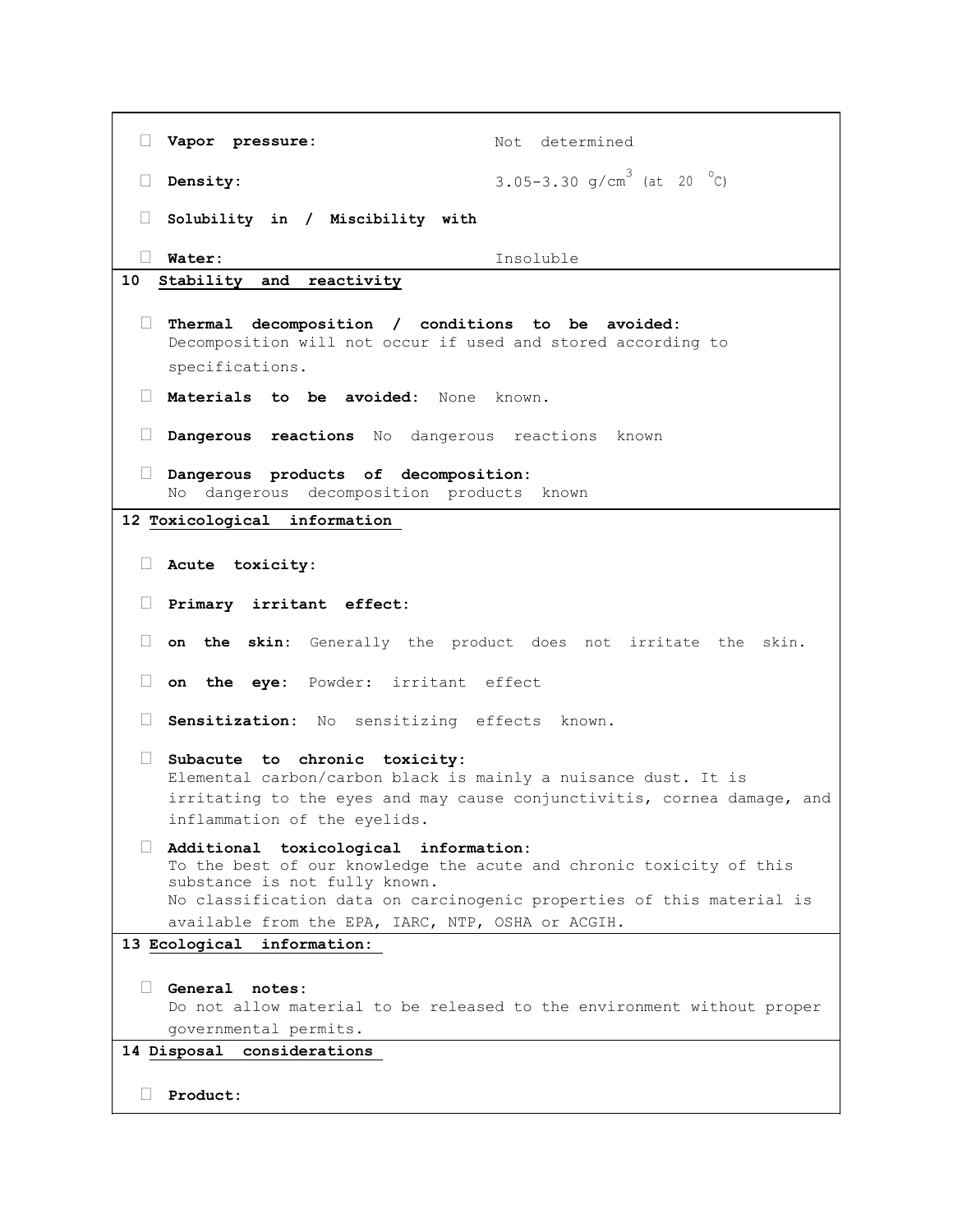```
Vapor pressure: Not determined
  Density: 3.05-3.30 g/cm<sup>3</sup> (at 20 <sup>o</sup>C)
  Solubility in / Miscibility with
  Water: Insoluble
10 Stability and reactivity
  Thermal decomposition / conditions to be avoided: 
    Decomposition will not occur if used and stored according to 
    specifications. 
  Materials to be avoided: None known.
  Dangerous reactions No dangerous reactions known
  Dangerous products of decomposition: 
    No dangerous decomposition products known 
12 Toxicological information 
  Acute toxicity: 
  Primary irritant effect: 
  on the skin: Generally the product does not irritate the skin.
  on the eye: Powder: irritant effect
  Sensitization: No sensitizing effects known.
  Subacute to chronic toxicity: 
    Elemental carbon/carbon black is mainly a nuisance dust. It is 
    irritating to the eyes and may cause conjunctivitis, cornea damage, and 
    inflammation of the eyelids. 
  Additional toxicological information: 
    To the best of our knowledge the acute and chronic toxicity of this 
    substance is not fully known. 
    No classification data on carcinogenic properties of this material is 
    available from the EPA, IARC, NTP, OSHA or ACGIH. 
13 Ecological information: 
  General notes: 
    Do not allow material to be released to the environment without proper 
    governmental permits. 
14 Disposal considerations 
  Product:
```